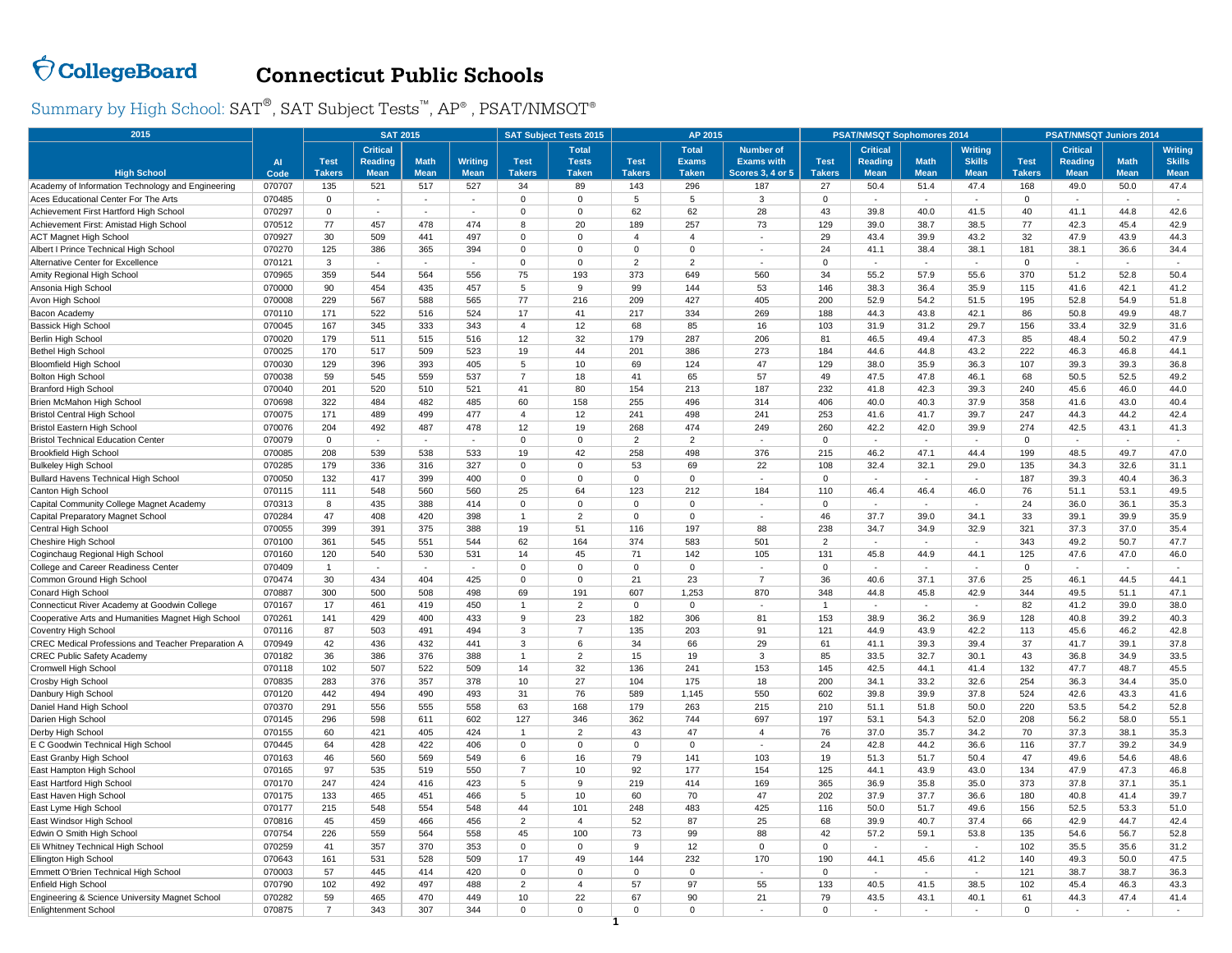## $\bigcirc$  CollegeBoard

## **Connecticut Public Schools**

Summary by High School:  $\text{SAT}^{\circledast}, \text{SAT}$  Subject Tests™,  $\text{AP}^{\circledast}$  ,  $\text{PSAT/NMSOT}^{\circledast}$ 

| 2015                                               |        | <b>SAT 2015</b> |                 |             |                |                | <b>SAT Subject Tests 2015</b> |                | AP 2015        |                      |                | <b>PSAT/NMSQT Sophomores 2014</b> |                          |                | <b>PSAT/NMSQT Juniors 2014</b> |                 |                |                |
|----------------------------------------------------|--------|-----------------|-----------------|-------------|----------------|----------------|-------------------------------|----------------|----------------|----------------------|----------------|-----------------------------------|--------------------------|----------------|--------------------------------|-----------------|----------------|----------------|
|                                                    |        |                 | <b>Critical</b> |             |                |                | <b>Total</b>                  |                | <b>Total</b>   | <b>Number of</b>     |                | <b>Critical</b>                   |                          | <b>Writing</b> |                                | <b>Critical</b> |                | <b>Writing</b> |
|                                                    | AI     | <b>Test</b>     | <b>Reading</b>  | <b>Math</b> | <b>Writing</b> | <b>Test</b>    | <b>Tests</b>                  | <b>Test</b>    | <b>Exams</b>   | <b>Exams with</b>    | <b>Test</b>    | Reading                           | <b>Math</b>              | <b>Skills</b>  | <b>Test</b>                    | <b>Reading</b>  | <b>Math</b>    | <b>Skills</b>  |
| <b>High School</b>                                 | Code   | <b>Takers</b>   | <b>Mean</b>     | <b>Mean</b> | <b>Mean</b>    | <b>Takers</b>  | <b>Taken</b>                  | <b>Takers</b>  | <b>Taken</b>   | Scores 3, 4 or 5     | <b>Takers</b>  | <b>Mean</b>                       | <b>Mean</b>              | <b>Mean</b>    | <b>Takers</b>                  | <b>Mean</b>     | <b>Mean</b>    | <b>Mean</b>    |
| Academy of Information Technology and Engineering  | 070707 | 135             | 521             | 517         | 527            | 34             | 89                            | 143            | 296            | 187                  | 27             | 50.4                              | 51.4                     | 47.4           | 168                            | 49.0            | 50.0           | 47.4           |
| Aces Educational Center For The Arts               | 070485 | 0               | ×.              | $\sim$      | $\sim$         | $\mathbf 0$    | $\mathbf 0$                   | 5              | $\overline{5}$ | 3                    | $\mathbf 0$    | $\sim$                            | $\sim$                   | $\sim$         | $\mathbf 0$                    |                 | $\sim$         | $\sim$         |
| Achievement First Hartford High School             | 070297 | $\Omega$        | ÷.              | ÷.          | $\sim$         | $\Omega$       | $\Omega$                      | 62             | 62             | 28                   | 43             | 39.8                              | 40.0                     | 41.5           | 40                             | 41.1            | 44.8           | 42.6           |
| Achievement First: Amistad High School             | 070512 | 77              | 457             | 478         | 474            | 8              | 20                            | 189            | 257            | 73                   | 129            | 39.0                              | 38.7                     | 38.5           | 77                             | 42.3            | 45.4           | 42.9           |
| <b>ACT Magnet High School</b>                      | 070927 | 30              | 509             | 441         | 497            | $\Omega$       | $\Omega$                      | $\overline{4}$ | $\overline{4}$ | ä,                   | 29             | 43.4                              | 39.9                     | 43.2           | 32                             | 47.9            | 43.9           | 44.3           |
| Albert I Prince Technical High School              | 070270 | 125             | 386             | 365         | 394            | $\Omega$       | $\Omega$                      | $\Omega$       | $\Omega$       | ä,                   | 24             | 41.1                              | 38.4                     | 38.1           | 181                            | 38.1            | 36.6           | 34.4           |
| Alternative Center for Excellence                  | 070121 | 3               | $\sim$          | $\sim$      | $\sim$         | $\Omega$       | $\mathbf 0$                   | $\overline{2}$ | $\overline{2}$ | ٠                    | $\Omega$       | $\sim$                            | $\sim$                   | $\sim$         | $\mathsf 0$                    |                 | $\overline{a}$ | $\sim$         |
| Amity Regional High School                         | 070965 | 359             | 544             | 564         | 556            | 75             | 193                           | 373            | 649            | 560                  | 34             | 55.2                              | 57.9                     | 55.6           | 370                            | 51.2            | 52.8           | 50.4           |
| Ansonia High School                                | 070000 | 90              | 454             | 435         | 457            | 5              | 9                             | 99             | 144            | 53                   | 146            | 38.3                              | 36.4                     | 35.9           | 115                            | 41.6            | 42.1           | 41.2           |
| Avon High School                                   | 070008 | 229             | 567             | 588         | 565            | 77             | 216                           | 209            | 427            | 405                  | 200            | 52.9                              | 54.2                     | 51.5           | 195                            | 52.8            | 54.9           | 51.8           |
| Bacon Academy                                      | 070110 | 171             | 522             | 516         | 524            | 17             | 41                            | 217            | 334            | 269                  | 188            | 44.3                              | 43.8                     | 42.1           | 86                             | 50.8            | 49.9           | 48.7           |
| Bassick High School                                | 070045 | 167             | 345             | 333         | 343            | 4              | 12                            | 68             | 85             | 16                   | 103            | 31.9                              | 31.2                     | 29.7           | 156                            | 33.4            | 32.9           | 31.6           |
| Berlin High School                                 | 070020 | 179             | 511             | 515         | 516            | 12             | 32                            | 179            | 287            | 206                  | 81             | 46.5                              | 49.4                     | 47.3           | 85                             | 48.4            | 50.2           | 47.9           |
| <b>Bethel High School</b>                          | 070025 | 170             | 517             | 509         | 523            | 19             | 44                            | 201            | 386            | 273                  | 184            | 44.6                              | 44.8                     | 43.2           | 222                            | 46.3            | 46.8           | 44.1           |
| <b>Bloomfield High School</b>                      | 070030 | 129             | 396             | 393         | 405            | 5              | 10                            | 69             | 124            | 47                   | 129            | 38.0                              | 35.9                     | 36.3           | 107                            | 39.3            | 39.3           | 36.8           |
| <b>Bolton High School</b>                          | 070038 | 59              | 545             | 559         | 537            | $\overline{7}$ | 18                            | 41             | 65             | 57                   | 49             | 47.5                              | 47.8                     | 46.1           | 68                             | 50.5            | 52.5           | 49.2           |
| <b>Branford High School</b>                        | 070040 | 201             | 520             | 510         | 521            | 41             | 80                            | 154            | 213            | 187                  | 232            | 41.8                              | 42.3                     | 39.3           | 240                            | 45.6            | 46.0           | 44.0           |
| Brien McMahon High Schoo                           | 070698 | 322             | 484             | 482         | 485            | 60             | 158                           | 255            | 496            | 314                  | 406            | 40.0                              | 40.3                     | 37.9           | 358                            | 41.6            | 43.0           | 40.4           |
| <b>Bristol Central High School</b>                 | 070075 | 171             | 489             | 499         | 477            | $\overline{4}$ | 12                            | 241            | 498            | 241                  | 253            | 41.6                              | 41.7                     | 39.7           | 247                            | 44.3            | 44.2           | 42.4           |
| Bristol Eastern High School                        | 070076 | 204             | 492             | 487         | 478            | 12             | 19                            | 268            | 474            | 249                  | 260            | 42.2                              | 42.0                     | 39.9           | 274                            | 42.5            | 43.1           | 41.3           |
| <b>Bristol Technical Education Center</b>          | 070079 | $\mathbf 0$     | $\sim$          | ÷.          | ×.             | $\Omega$       | $\mathbf{0}$                  | $\overline{2}$ | $\overline{2}$ | i,                   | $\mathbf{0}$   | $\mathbf{r}$                      | $\sim$                   | ×.             | $\mathbf 0$                    | ×.              | $\sim$         | $\sim$         |
| <b>Brookfield High School</b>                      | 070085 | 208             | 539             | 538         | 533            | 19             | 42                            | 258            | 498            | 376                  | 215            | 46.2                              | 47.1                     | 44.4           | 199                            | 48.5            | 49.7           | 47.0           |
| <b>Bulkeley High School</b>                        | 070285 | 179             | 336             | 316         | 327            | $\Omega$       | $\Omega$                      | 53             | 69             | 22                   | 108            | 32.4                              | 32.1                     | 29.0           | 135                            | 34.3            | 32.6           | 31.1           |
| Bullard Havens Technical High School               | 070050 | 132             | 417             | 399         | 400            | $\Omega$       | $\Omega$                      | $\mathbf 0$    | $\mathbf 0$    | $\sim$               | $\mathbf{0}$   | $\sim$                            | $\sim$                   | ٠              | 187                            | 39.3            | 40.4           | 36.3           |
| Canton High School                                 | 070115 | 111             | 548             | 560         | 560            | 25             | 64                            | 123            | 212            | 184                  | 110            | 46.4                              | 46.4                     | 46.0           | 76                             | 51.1            | 53.1           | 49.5           |
| Capital Community College Magnet Academy           | 070313 | 8               | 435             | 388         | 414            | $\Omega$       | $\Omega$                      | $\Omega$       | $\mathbf 0$    | $\ddot{\phantom{1}}$ | $\Omega$       | $\sim$                            | ×.                       | ×.             | 24                             | 36.0            | 36.1           | 35.3           |
| Capital Preparatory Magnet School                  | 070284 | 47              | 408             | 420         | 398            | $\overline{1}$ | $\overline{2}$                | $\overline{0}$ | $\mathbf 0$    |                      | 46             | 37.7                              | 39.0                     | 34.1           | 33                             | 39.1            | 39.9           | 35.9           |
| Central High School                                | 070055 | 399             | 391             | 375         | 388            | 19             | 51                            | 116            | 197            | 88                   | 238            | 34.7                              | 34.9                     | 32.9           | 321                            | 37.3            | 37.0           | 35.4           |
| Cheshire High School                               | 070100 | 361             | 545             | 551         | 544            | 62             | 164                           | 374            | 583            | 501                  | $\overline{2}$ | $\sim$                            | ×                        | ×.             | 343                            | 49.2            | 50.7           | 47.7           |
| Coginchaug Regional High School                    | 070160 | 120             | 540             | 530         | 531            | 14             | 45                            | 71             | 142            | 105                  | 131            | 45.8                              | 44.9                     | 44.1           | 125                            | 47.6            | 47.0           | 46.0           |
| College and Career Readiness Center                | 070409 | $\mathbf{1}$    | $\sim$          | $\sim$      | $\sim$         | $\Omega$       | $\mathbf 0$                   | $\mathbf 0$    | $\mathbf 0$    | $\ddot{\phantom{1}}$ | $\mathbf 0$    | $\sim$                            | $\sim$                   | $\sim$         | $\mathbf 0$                    |                 | $\sim$         | $\sim$         |
| Common Ground High School                          | 070474 | 30              | 434             | 404         | 425            | $\Omega$       | $\Omega$                      | 21             | 23             | $\overline{7}$       | 36             | 40.6                              | 37.1                     | 37.6           | 25                             | 46.1            | 44.5           | 44.1           |
| Conard High School                                 | 070887 | 300             | 500             | 508         | 498            | 69             | 191                           | 607            | 1,253          | 870                  | 348            | 44.8                              | 45.8                     | 42.9           | 344                            | 49.5            | 51.1           | 47.1           |
| Connecticut River Academy at Goodwin College       | 070167 | 17              | 461             | 419         | 450            | $\mathbf{1}$   | $\overline{2}$                | $\mathbf 0$    | $\mathbf 0$    | ×,                   | $\overline{1}$ | $\blacksquare$                    | $\overline{\phantom{a}}$ | $\sim$         | 82                             | 41.2            | 39.0           | 38.0           |
| Cooperative Arts and Humanities Magnet High School | 070261 | 141             | 429             | 400         | 433            | 9              | 23                            | 182            | 306            | 81                   | 153            | 38.9                              | 36.2                     | 36.9           | 128                            | 40.8            | 39.2           | 40.3           |
| Coventry High School                               | 070116 | 87              | 503             | 491         | 494            | 3              | $\overline{7}$                | 135            | 203            | 91                   | 121            | 44.9                              | 43.9                     | 42.2           | 113                            | 45.6            | 46.2           | 42.8           |
| CREC Medical Professions and Teacher Preparation A | 070949 | 42              | 436             | 432         | 441            | 3              | 6                             | 34             | 66             | 29                   | 61             | 41.1                              | 39.3                     | 39.4           | 37                             | 41.7            | 39.1           | 37.8           |
| <b>CREC Public Safety Academy</b>                  | 070182 | 36              | 386             | 376         | 388            | $\mathbf{1}$   | $\overline{2}$                | 15             | 19             | 3                    | 85             | 33.5                              | 32.7                     | 30.1           | 43                             | 36.8            | 34.9           | 33.5           |
| Cromwell High School                               | 070118 | 102             | 507             | 522         | 509            | 14             | 32                            | 136            | 241            | 153                  | 145            | 42.5                              | 44.1                     | 41.4           | 132                            | 47.7            | 48.7           | 45.5           |
| Crosby High School                                 | 070835 | 283             | 376             | 357         | 378            | 10             | 27                            | 104            | 175            | 18                   | 200            | 34.1                              | 33.2                     | 32.6           | 254                            | 36.3            | 34.4           | 35.0           |
| Danbury High School                                | 070120 | 442             | 494             | 490         | 493            | 31             | 76                            | 589            | 1,145          | 550                  | 602            | 39.8                              | 39.9                     | 37.8           | 524                            | 42.6            | 43.3           | 41.6           |
| Daniel Hand High School                            | 070370 | 291             | 556             | 555         | 558            | 63             | 168                           | 179            | 263            | 215                  | 210            | 51.1                              | 51.8                     | 50.0           | 220                            | 53.5            | 54.2           | 52.8           |
| Darien High School                                 | 070145 | 296             | 598             | 611         | 602            | 127            | 346                           | 362            | 744            | 697                  | 197            | 53.1                              | 54.3                     | 52.0           | 208                            | 56.2            | 58.0           | 55.1           |
| Derby High School                                  | 070155 | 60              | 421             | 405         | 424            | $\mathbf{1}$   | 2                             | 43             | 47             | $\overline{4}$       | 76             | 37.0                              | 35.7                     | 34.2           | 70                             | 37.3            | 38.1           | 35.3           |
| E C Goodwin Technical High School                  | 070445 | 64              | 428             | 422         | 406            | $\mathbf 0$    | $\mathbf 0$                   | $\mathbf 0$    | $\mathbf 0$    | i,                   | 24             | 42.8                              | 44.2                     | 36.6           | 116                            | 37.7            | 39.2           | 34.9           |
| East Granby High School                            | 070163 | 46              | 560             | 569         | 549            | 6              | 16                            | 79             | 141            | 103                  | 19             | 51.3                              | 51.7                     | 50.4           | 47                             | 49.6            | 54.6           | 48.6           |
| East Hampton High School                           | 070165 | 97              | 535             | 519         | 550            | $\overline{7}$ | 10                            | 92             | 177            | 154                  | 125            | 44.1                              | 43.9                     | 43.0           | 134                            | 47.9            | 47.3           | 46.8           |
| East Hartford High School                          | 070170 | 247             | 424             | 416         | 423            | 5              | 9                             | 219            | 414            | 169                  | 365            | 36.9                              | 35.8                     | 35.0           | 373                            | 37.8            | 37.1           | 35.1           |
| East Haven High School                             | 070175 | 133             | 465             | 451         | 466            | 5              | 10                            | 60             | 70             | 47                   | 202            | 37.9                              | 37.7                     | 36.6           | 180                            | 40.8            | 41.4           | 39.7           |
| East Lyme High School                              | 070177 | 215             | 548             | 554         | 548            | 44             | 101                           | 248            | 483            | 425                  | 116            | 50.0                              | 51.7                     | 49.6           | 156                            | 52.5            | 53.3           | 51.0           |
| East Windsor High School                           | 070816 | 45              | 459             | 466         | 456            | $\overline{2}$ | $\overline{\mathbf{4}}$       | 52             | 87             | 25                   | 68             | 39.9                              | 40.7                     | 37.4           | 66                             | 42.9            | 44.7           | 42.4           |
| Edwin O Smith High School                          | 070754 | 226             | 559             | 564         | 558            | 45             | 100                           | 73             | 99             | 88                   | 42             | 57.2                              | 59.1                     | 53.8           | 135                            | 54.6            | 56.7           | 52.8           |
| Eli Whitney Technical High School                  | 070259 | 41              | 357             | 370         | 353            | $\Omega$       | $\Omega$                      | 9              | 12             | $\Omega$             | $\mathbf{0}$   | $\sim$                            | $\sim$                   | $\sim$         | 102                            | 35.5            | 35.6           | 31.2           |
| Ellington High School                              | 070643 | 161             | 531             | 528         | 509            | 17             | 49                            | 144            | 232            | 170                  | 190            | 44.1                              | 45.6                     | 41.2           | 140                            | 49.3            | 50.0           | 47.5           |
| Emmett O'Brien Technical High School               | 070003 | 57              | 445             | 414         | 420            | $\Omega$       | $\Omega$                      | $\Omega$       | $\Omega$       | $\ddot{\phantom{1}}$ | $\Omega$       | ÷                                 | ×.                       | ×.             | 121                            | 38.7            | 38.7           | 36.3           |
| Enfield High School                                | 070790 | 102             | 492             | 497         | 488            | $\overline{2}$ | $\overline{4}$                | 57             | 97             | 55                   | 133            | 40.5                              | 41.5                     | 38.5           | 102                            | 45.4            | 46.3           | 43.3           |
| Engineering & Science University Magnet School     | 070282 | 59              | 465             | 470         | 449            | 10             | 22                            | 67             | 90             | 21                   | 79             | 43.5                              | 43.1                     | 40.1           | 61                             | 44.3            | 47.4           | 41.4           |
| <b>Enlightenment School</b>                        | 070875 | $\overline{7}$  | 343             | 307         | 344            | $\Omega$       | $\Omega$                      | $\Omega$       | $\Omega$       |                      | $\Omega$       | ÷                                 | ÷.                       |                | $\Omega$                       |                 | $\sim$         | $\sim$         |
|                                                    |        |                 |                 |             |                |                |                               |                |                |                      |                |                                   |                          |                |                                |                 |                |                |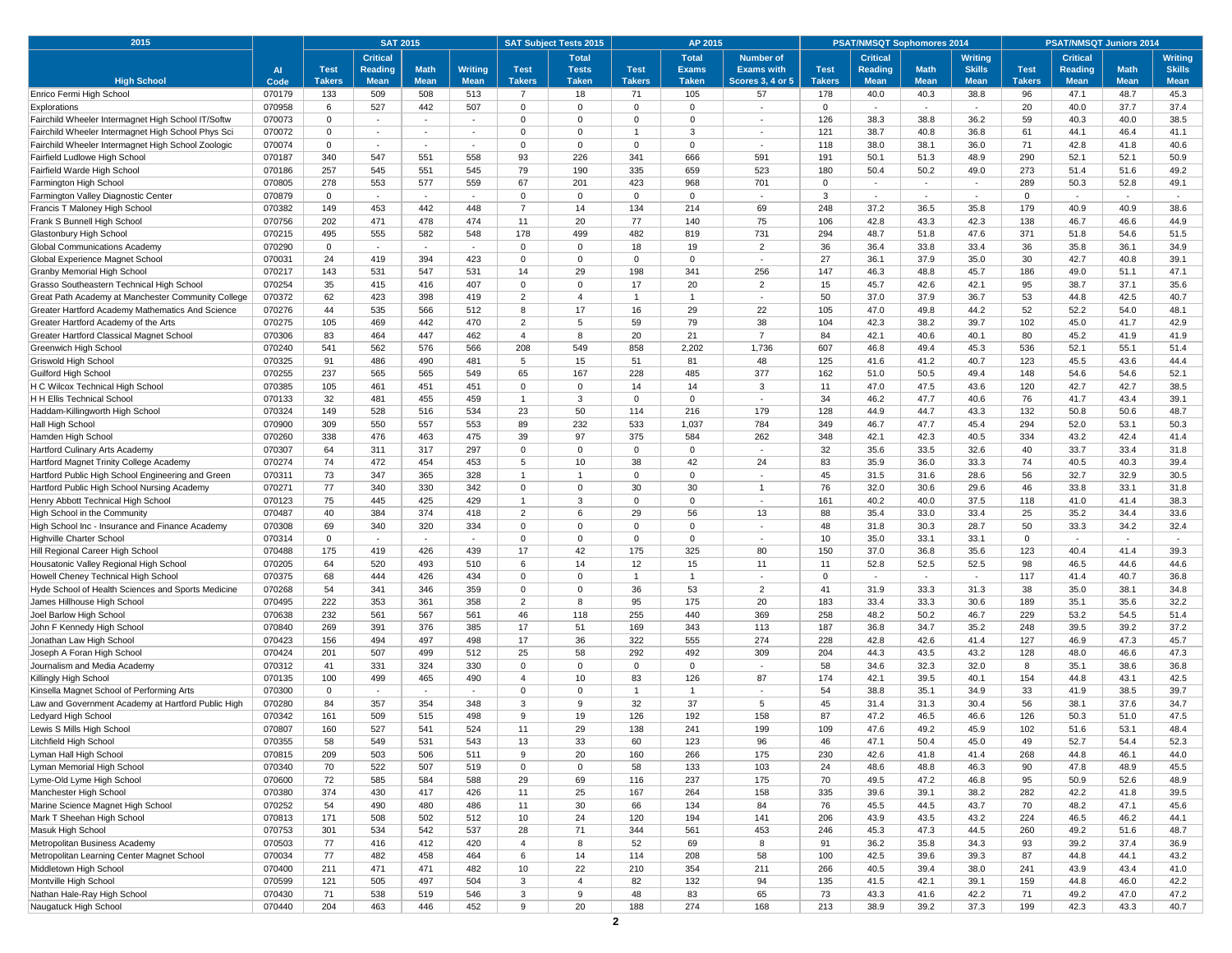| 2015                                                                                                     |                  | <b>SAT 2015</b>  |                                    |             |                | <b>SAT Subject Tests 2015</b> | AP 2015                    |                   | <b>PSAT/NMSQT Sophomores 2014</b> |                                    |               | <b>PSAT/NMSQT Juniors 2014</b> |              |                          |               |                 |              |                |
|----------------------------------------------------------------------------------------------------------|------------------|------------------|------------------------------------|-------------|----------------|-------------------------------|----------------------------|-------------------|-----------------------------------|------------------------------------|---------------|--------------------------------|--------------|--------------------------|---------------|-----------------|--------------|----------------|
|                                                                                                          |                  |                  | <b>Critical</b>                    |             |                |                               | <b>Total</b>               |                   | <b>Total</b>                      | <b>Number of</b>                   |               | <b>Critical</b>                |              | Writing                  |               | <b>Critical</b> |              | <b>Writing</b> |
|                                                                                                          | <b>Al</b>        | <b>Test</b>      | <b>Reading</b>                     | <b>Math</b> | <b>Writing</b> | <b>Test</b>                   | <b>Tests</b>               | <b>Test</b>       | <b>Exams</b>                      | <b>Exams with</b>                  | <b>Test</b>   | Reading                        | <b>Math</b>  | <b>Skills</b>            | <b>Test</b>   | <b>Reading</b>  | <b>Math</b>  | <b>Skills</b>  |
| <b>High School</b>                                                                                       | Code             | <b>Takers</b>    | <b>Mean</b>                        | <b>Mean</b> | <b>Mean</b>    | <b>Takers</b>                 | <b>Taken</b>               | <b>Takers</b>     | <b>Taken</b>                      | <b>Scores 3, 4 or 5</b>            | <b>Takers</b> | <b>Mean</b>                    | <b>Mean</b>  | <b>Mean</b>              | <b>Takers</b> | <b>Mean</b>     | <b>Mean</b>  | <b>Mean</b>    |
| Enrico Fermi High School                                                                                 | 070179           | 133              | 509                                | 508         | 513            | $\overline{7}$                | 18                         | 71                | 105                               | 57                                 | 178           | 40.0                           | 40.3         | 38.8                     | 96            | 47.1            | 48.7         | 45.3           |
| Explorations                                                                                             | 070958           | 6                | 527                                | 442         | 507            | 0                             | $\mathbf 0$                | $\mathbf 0$       | $\mathbf 0$                       |                                    | $\mathbf 0$   | $\sim$                         | $\sim$       |                          | 20            | 40.0            | 37.7         | 37.4           |
| Fairchild Wheeler Intermagnet High School IT/Softw                                                       | 070073           | $\mathbf 0$      | ٠                                  | $\sim$      | $\sim$         | $\Omega$<br>$\Omega$          | $\overline{0}$             | $\Omega$<br>1     | $\Omega$                          |                                    | 126           | 38.3                           | 38.8         | 36.2                     | 59            | 40.3            | 40.0         | 38.5           |
| Fairchild Wheeler Intermagnet High School Phys Sci<br>Fairchild Wheeler Intermagnet High School Zoologic | 070072           | 0<br>$\mathbf 0$ | $\sim$<br>$\overline{\phantom{a}}$ | $\sim$      | $\sim$         | 0                             | $\mathbf 0$<br>$\mathbf 0$ | $\mathbf 0$       | 3<br>0                            | $\sim$<br>$\overline{\phantom{a}}$ | 121           | 38.7                           | 40.8         | 36.8                     | 61<br>71      | 44.1<br>42.8    | 46.4<br>41.8 | 41.1<br>40.6   |
| Fairfield Ludlowe High School                                                                            | 070074<br>070187 | 340              | 547                                | 551         | 558            | 93                            | 226                        | 341               | 666                               | 591                                | 118<br>191    | 38.0<br>50.1                   | 38.1<br>51.3 | 36.0<br>48.9             | 290           | 52.1            | 52.1         | 50.9           |
| Fairfield Warde High Schoo                                                                               | 070186           | 257              | 545                                | 551         | 545            | 79                            | 190                        | 335               | 659                               | 523                                | 180           | 50.4                           | 50.2         | 49.0                     | 273           | 51.4            | 51.6         | 49.2           |
| Farmington High School                                                                                   | 070805           | 278              | 553                                | 577         | 559            | 67                            | 201                        | 423               | 968                               | 701                                | $\Omega$      | $\sim$                         | $\sim$       | $\sim$                   | 289           | 50.3            | 52.8         | 49.1           |
| Farmington Valley Diagnostic Center                                                                      | 070879           | 0                | $\blacksquare$                     | $\sim$      |                | 0                             | $\mathbf 0$                | 0                 | $\mathbf 0$                       | ٠                                  | 3             | $\sim$                         | $\sim$       | $\sim$                   | $\mathbf 0$   |                 | $\sim$       | $\sim$         |
| Francis T Maloney High School                                                                            | 070382           | 149              | 453                                | 442         | 448            | $\overline{7}$                | 14                         | 134               | 214                               | 69                                 | 248           | 37.2                           | 36.5         | 35.8                     | 179           | 40.9            | 40.9         | 38.6           |
| Frank S Bunnell High School                                                                              | 070756           | 202              | 471                                | 478         | 474            | 11                            | 20                         | 77                | 140                               | 75                                 | 106           | 42.8                           | 43.3         | 42.3                     | 138           | 46.7            | 46.6         | 44.9           |
| Glastonbury High School                                                                                  | 070215           | 495              | 555                                | 582         | 548            | 178                           | 499                        | 482               | 819                               | 731                                | 294           | 48.7                           | 51.8         | 47.6                     | 371           | 51.8            | 54.6         | 51.5           |
| Global Communications Academy                                                                            | 070290           | $\mathbf 0$      | ٠                                  | $\sim$      | $\sim$         | $\Omega$                      | $\mathbf 0$                | 18                | 19                                | $\overline{2}$                     | 36            | 36.4                           | 33.8         | 33.4                     | 36            | 35.8            | 36.1         | 34.9           |
| Global Experience Magnet School                                                                          | 070031           | 24               | 419                                | 394         | 423            | $\mathbf{0}$                  | $\mathbf 0$                | 0                 | 0                                 | $\overline{\phantom{a}}$           | 27            | 36.1                           | 37.9         | 35.0                     | 30            | 42.7            | 40.8         | 39.1           |
| Granby Memorial High School                                                                              | 070217           | 143              | 531                                | 547         | 531            | 14                            | 29                         | 198               | 341                               | 256                                | 147           | 46.3                           | 48.8         | 45.7                     | 186           | 49.0            | 51.1         | 47.1           |
| Grasso Southeastern Technical High School                                                                | 070254           | 35               | 415                                | 416         | 407            | 0                             | $\overline{0}$             | 17                | 20                                | $\overline{2}$                     | 15            | 45.7                           | 42.6         | 42.1                     | 95            | 38.7            | 37.1         | 35.6           |
| Great Path Academy at Manchester Community College                                                       | 070372           | 62               | 423                                | 398         | 419            | 2                             | $\overline{4}$             | $\overline{1}$    | $\mathbf{1}$                      | $\sim$                             | 50            | 37.0                           | 37.9         | 36.7                     | 53            | 44.8            | 42.5         | 40.7           |
| Greater Hartford Academy Mathematics And Science                                                         | 070276           | 44               | 535                                | 566         | 512            | 8                             | 17                         | 16                | 29                                | 22                                 | 105           | 47.0                           | 49.8         | 44.2                     | 52            | 52.2            | 54.0         | 48.1           |
| Greater Hartford Academy of the Arts                                                                     | 070275           | 105              | 469                                | 442         | 470            | 2                             | 5                          | 59                | 79                                | 38                                 | 104           | 42.3                           | 38.2         | 39.7                     | 102           | 45.0            | 41.7         | 42.9           |
| Greater Hartford Classical Magnet School                                                                 | 070306           | 83               | 464                                | 447         | 462            | $\overline{4}$                | 8                          | 20                | 21                                | $\overline{7}$                     | 84            | 42.1                           | 40.6         | 40.1                     | 80            | 45.2            | 41.9         | 41.9           |
| Greenwich High School                                                                                    | 070240           | 541              | 562                                | 576         | 566            | 208                           | 549                        | 858               | 2,202                             | 1,736                              | 607           | 46.8                           | 49.4         | 45.3                     | 536           | 52.1            | 55.1         | 51.4           |
| Griswold High School                                                                                     | 070325           | 91               | 486                                | 490         | 481            | 5                             | 15                         | 51                | 81                                | 48                                 | 125           | 41.6                           | 41.2         | 40.7                     | 123           | 45.5            | 43.6         | 44.4           |
| Guilford High School                                                                                     | 070255           | 237              | 565                                | 565         | 549            | 65                            | 167                        | 228               | 485                               | 377                                | 162           | 51.0                           | 50.5         | 49.4                     | 148           | 54.6            | 54.6         | 52.1           |
| H C Wilcox Technical High School<br>H H Ellis Technical School                                           | 070385<br>070133 | 105<br>32        | 461<br>481                         | 451<br>455  | 451<br>459     | $\Omega$<br>1                 | $\mathbf 0$<br>3           | 14<br>$\mathbf 0$ | 14<br>$\mathbf 0$                 | 3<br>$\overline{\phantom{a}}$      | 11<br>34      | 47.0<br>46.2                   | 47.5<br>47.7 | 43.6<br>40.6             | 120<br>76     | 42.7<br>41.7    | 42.7<br>43.4 | 38.5<br>39.1   |
| Haddam-Killingworth High School                                                                          | 070324           | 149              | 528                                | 516         | 534            | 23                            | 50                         | 114               | 216                               | 179                                | 128           | 44.9                           | 44.7         | 43.3                     | 132           | 50.8            | 50.6         | 48.7           |
| Hall High School                                                                                         | 070900           | 309              | 550                                | 557         | 553            | 89                            | 232                        | 533               | 1,037                             | 784                                | 349           | 46.7                           | 47.7         | 45.4                     | 294           | 52.0            | 53.1         | 50.3           |
| Hamden High School                                                                                       | 070260           | 338              | 476                                | 463         | 475            | 39                            | 97                         | 375               | 584                               | 262                                | 348           | 42.1                           | 42.3         | 40.5                     | 334           | 43.2            | 42.4         | 41.4           |
| Hartford Culinary Arts Academy                                                                           | 070307           | 64               | 311                                | 317         | 297            | $\mathbf{0}$                  | $\mathbf 0$                | 0                 | $\mathbf 0$                       | ٠                                  | 32            | 35.6                           | 33.5         | 32.6                     | 40            | 33.7            | 33.4         | 31.8           |
| Hartford Magnet Trinity College Academy                                                                  | 070274           | 74               | 472                                | 454         | 453            | 5                             | 10                         | 38                | 42                                | 24                                 | 83            | 35.9                           | 36.0         | 33.3                     | 74            | 40.5            | 40.3         | 39.4           |
| Hartford Public High School Engineering and Green                                                        | 070311           | 73               | 347                                | 365         | 328            | $\mathbf{1}$                  | $\overline{1}$             | $\mathbf 0$       | $\mathbf 0$                       | $\sim$                             | 45            | 31.5                           | 31.6         | 28.6                     | 56            | 32.7            | 32.9         | 30.5           |
| Hartford Public High School Nursing Academy                                                              | 070271           | 77               | 340                                | 330         | 342            | $\Omega$                      | $\mathbf 0$                | 30                | 30                                | $\overline{1}$                     | 76            | 32.0                           | 30.6         | 29.6                     | 46            | 33.8            | 33.1         | 31.8           |
| Henry Abbott Technical High School                                                                       | 070123           | 75               | 445                                | 425         | 429            | 1                             | 3                          | $\Omega$          | $\Omega$                          | $\sim$                             | 161           | 40.2                           | 40.0         | 37.5                     | 118           | 41.0            | 41.4         | 38.3           |
| High School in the Community                                                                             | 070487           | 40               | 384                                | 374         | 418            | $\overline{2}$                | 6                          | 29                | 56                                | 13                                 | 88            | 35.4                           | 33.0         | 33.4                     | 25            | 35.2            | 34.4         | 33.6           |
| High School Inc - Insurance and Finance Academy                                                          | 070308           | 69               | 340                                | 320         | 334            | $\Omega$                      | $\mathbf 0$                | $\mathbf 0$       | $\Omega$                          | $\sim$                             | 48            | 31.8                           | 30.3         | 28.7                     | 50            | 33.3            | 34.2         | 32.4           |
| Highville Charter School                                                                                 | 070314           | 0                | $\sim$                             | $\sim$      | $\sim$         | 0                             | $\mathbf 0$                | $\mathbf 0$       | $\mathbf 0$                       | ٠                                  | 10            | 35.0                           | 33.1         | 33.1                     | $\mathbf 0$   | $\sim$          | $\sim$       | $\sim$         |
| Hill Regional Career High School                                                                         | 070488           | 175              | 419                                | 426         | 439            | 17                            | 42                         | 175               | 325                               | 80                                 | 150           | 37.0                           | 36.8         | 35.6                     | 123           | 40.4            | 41.4         | 39.3           |
| Housatonic Valley Regional High School                                                                   | 070205           | 64               | 520                                | 493         | 510            | 6                             | 14                         | 12                | 15                                | 11                                 | 11            | 52.8                           | 52.5         | 52.5                     | 98            | 46.5            | 44.6         | 44.6           |
| Howell Cheney Technical High School                                                                      | 070375           | 68               | 444                                | 426         | 434            | $\Omega$                      | $\Omega$                   | -1                | -1                                | $\overline{\phantom{a}}$           | $\Omega$      | $\overline{\phantom{a}}$       | $\sim$       | $\overline{\phantom{a}}$ | 117           | 41.4            | 40.7         | 36.8           |
| Hyde School of Health Sciences and Sports Medicine                                                       | 070268           | 54               | 341                                | 346         | 359            | $\mathbf{0}$                  | $\mathbf 0$                | 36                | 53                                | $\overline{2}$                     | 41            | 31.9                           | 33.3         | 31.3                     | 38            | 35.0            | 38.1         | 34.8           |
| James Hillhouse High School                                                                              | 070495           | 222              | 353                                | 361         | 358            | 2                             | 8<br>118                   | 95                | 175                               | 20<br>369                          | 183<br>258    | 33.4                           | 33.3         | 30.6                     | 189<br>229    | 35.1            | 35.6         | 32.2           |
| Joel Barlow High School                                                                                  | 070638<br>070840 | 232<br>269       | 561<br>391                         | 567<br>376  | 561<br>385     | 46<br>17                      | 51                         | 255<br>169        | 440<br>343                        | 113                                | 187           | 48.2<br>36.8                   | 50.2<br>34.7 | 46.7<br>35.2             | 248           | 53.2<br>39.5    | 54.5<br>39.2 | 51.4<br>37.2   |
| John F Kennedy High School<br>Jonathan Law High School                                                   | 070423           | 156              | 494                                | 497         | 498            | 17                            | 36                         | 322               | 555                               | 274                                | 228           | 42.8                           | 42.6         | 41.4                     | 127           | 46.9            | 47.3         | 45.7           |
| Joseph A Foran High School                                                                               | 070424           | 201              | 507                                | 499         | 512            | 25                            | 58                         | 292               | 492                               | 309                                | 204           | 44.3                           | 43.5         | 43.2                     | 128           | 48.0            | 46.6         | 47.3           |
| Journalism and Media Academy                                                                             | 070312           | 41               | 331                                | 324         | 330            | $\Omega$                      | $\mathbf 0$                | $\mathbf 0$       | $\mathbf 0$                       |                                    | 58            | 34.6                           | 32.3         | 32.0                     | 8             | 35.1            | 38.6         | 36.8           |
| Killingly High School                                                                                    | 070135           | 100              | 499                                | 465         | 490            | $\overline{4}$                | 10                         | 83                | 126                               | 87                                 | 174           | 42.1                           | 39.5         | 40.1                     | 154           | 44.8            | 43.1         | 42.5           |
| Kinsella Magnet School of Performing Arts                                                                | 070300           | $^{\circ}$       | $\blacksquare$                     |             |                | $\Omega$                      | $\Omega$                   |                   | $\mathbf{1}$                      |                                    | 54            | 38.8                           | 35.1         | 34.9                     | 33            | 41.9            | 38.5         | 39.7           |
| Law and Government Academy at Hartford Public High                                                       | 070280           | 84               | 357                                | 354         | 348            | 3                             | 9                          | 32                | 37                                | 5                                  | 45            | 31.4                           | 31.3         | 30.4                     | 56            | 38.1            | 37.6         | 34.7           |
| Ledyard High School                                                                                      | 070342           | 161              | 509                                | 515         | 498            | 9                             | 19                         | 126               | 192                               | 158                                | 87            | 47.2                           | 46.5         | 46.6                     | 126           | 50.3            | 51.0         | 47.5           |
| Lewis S Mills High School                                                                                | 070807           | 160              | 527                                | 541         | 524            | 11                            | 29                         | 138               | 241                               | 199                                | 109           | 47.6                           | 49.2         | 45.9                     | 102           | 51.6            | 53.1         | 48.4           |
| Litchfield High School                                                                                   | 070355           | 58               | 549                                | 531         | 543            | 13                            | 33                         | 60                | 123                               | 96                                 | 46            | 47.1                           | 50.4         | 45.0                     | 49            | 52.7            | 54.4         | 52.3           |
| Lyman Hall High School                                                                                   | 070815           | 209              | 503                                | 506         | 511            | 9                             | 20                         | 160               | 266                               | 175                                | 230           | 42.6                           | 41.8         | 41.4                     | 268           | 44.8            | 46.1         | 44.0           |
| Lyman Memorial High School                                                                               | 070340           | 70               | 522                                | 507         | 519            | $\mathbf 0$                   | $\mathbf 0$                | 58                | 133                               | 103                                | 24            | 48.6                           | 48.8         | 46.3                     | 90            | 47.8            | 48.9         | 45.5           |
| Lyme-Old Lyme High School                                                                                | 070600           | 72               | 585                                | 584         | 588            | 29                            | 69                         | 116               | 237                               | 175                                | 70            | 49.5                           | 47.2         | 46.8                     | 95            | 50.9            | 52.6         | 48.9           |
| Manchester High School                                                                                   | 070380           | 374              | 430                                | 417         | 426            | 11                            | 25                         | 167               | 264                               | 158                                | 335           | 39.6                           | 39.1         | 38.2                     | 282           | 42.2            | 41.8         | 39.5           |
| Marine Science Magnet High School                                                                        | 070252           | 54               | 490                                | 480         | 486            | 11                            | 30                         | 66                | 134                               | 84                                 | 76            | 45.5                           | 44.5         | 43.7                     | 70            | 48.2            | 47.1         | 45.6           |
| Mark T Sheehan High School                                                                               | 070813           | 171              | 508                                | 502         | 512            | 10                            | 24                         | 120               | 194                               | 141                                | 206           | 43.9                           | 43.5         | 43.2                     | 224           | 46.5            | 46.2         | 44.1           |
| Masuk High School                                                                                        | 070753           | 301              | 534                                | 542         | 537            | 28                            | 71                         | 344               | 561                               | 453                                | 246           | 45.3                           | 47.3         | 44.5                     | 260           | 49.2            | 51.6         | 48.7           |
| Metropolitan Business Academy                                                                            | 070503           | 77               | 416                                | 412         | 420            | $\overline{4}$                | 8                          | 52                | 69                                | 8                                  | 91            | 36.2                           | 35.8         | 34.3                     | 93            | 39.2            | 37.4         | 36.9           |
| Metropolitan Learning Center Magnet School                                                               | 070034           | 77<br>211        | 482<br>471                         | 458<br>471  | 464<br>482     | 6<br>10                       | 14                         | 114<br>210        | 208<br>354                        | 58<br>211                          | 100<br>266    | 42.5<br>40.5                   | 39.6<br>39.4 | 39.3<br>38.0             | 87<br>241     | 44.8            | 44.1<br>43.4 | 43.2<br>41.0   |
| Middletown High School<br>Montville High School                                                          | 070400<br>070599 | 121              | 505                                | 497         | 504            | 3                             | 22<br>$\overline{4}$       | 82                | 132                               | 94                                 | 135           | 41.5                           | 42.1         | 39.1                     | 159           | 43.9<br>44.8    | 46.0         | 42.2           |
| Nathan Hale-Ray High School                                                                              | 070430           | 71               | 538                                | 519         | 546            | 3                             | 9                          | 48                | 83                                | 65                                 | 73            | 43.3                           | 41.6         | 42.2                     | 71            | 49.2            | 47.0         | 47.2           |
| Naugatuck High School                                                                                    | 070440           | 204              | 463                                | 446         | 452            | 9                             | 20                         | 188               | 274                               | 168                                | 213           | 38.9                           | 39.2         | 37.3                     | 199           | 42.3            | 43.3         | 40.7           |
|                                                                                                          |                  |                  |                                    |             |                |                               |                            | $\mathbf{2}$      |                                   |                                    |               |                                |              |                          |               |                 |              |                |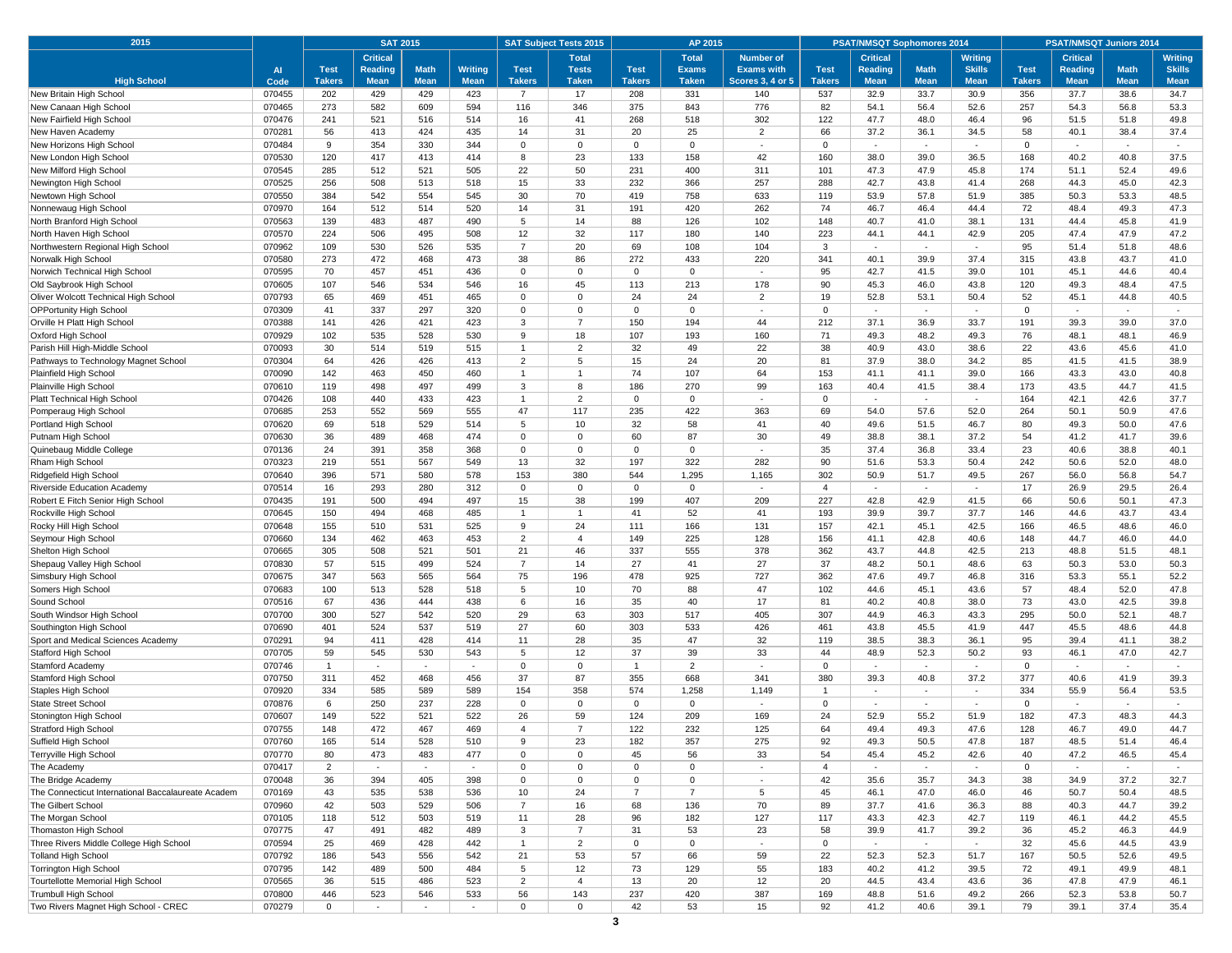| 2015                                                                     |                  | <b>SAT 2015</b>      |                 |                          | <b>SAT Subject Tests 2015</b><br>AP 2015 |                         |                            |                   |                     |                                            | <b>PSAT/NMSQT Sophomores 2014</b> |                 |                                  | <b>PSAT/NMSQT Juniors 2014</b> |                      |                 |                                  |                |
|--------------------------------------------------------------------------|------------------|----------------------|-----------------|--------------------------|------------------------------------------|-------------------------|----------------------------|-------------------|---------------------|--------------------------------------------|-----------------------------------|-----------------|----------------------------------|--------------------------------|----------------------|-----------------|----------------------------------|----------------|
|                                                                          |                  |                      | <b>Critical</b> |                          |                                          |                         | <b>Total</b>               |                   | <b>Total</b>        | <b>Number of</b>                           |                                   | <b>Critical</b> |                                  | <b>Writing</b>                 |                      | <b>Critical</b> |                                  | <b>Writing</b> |
|                                                                          | <b>Al</b>        | <b>Test</b>          | Reading         | <b>Math</b>              | <b>Writing</b>                           | <b>Test</b>             | <b>Tests</b>               | <b>Test</b>       | <b>Exams</b>        | <b>Exams with</b>                          | <b>Test</b>                       | Reading         | <b>Math</b>                      | <b>Skills</b>                  | <b>Test</b>          | <b>Reading</b>  | <b>Math</b>                      | <b>Skills</b>  |
| <b>High School</b>                                                       | Code             | <b>Takers</b>        | <b>Mean</b>     | <b>Mean</b>              | <b>Mean</b>                              | <b>Takers</b>           | <b>Taken</b>               | <b>Takers</b>     | <b>Taken</b>        | <b>Scores 3, 4 or 5</b>                    | <b>Takers</b>                     | <b>Mean</b>     | <b>Mean</b>                      | <b>Mean</b>                    | <b>Takers</b>        | <b>Mean</b>     | <b>Mean</b>                      | <b>Mean</b>    |
| New Britain High School                                                  | 070455           | 202                  | 429             | 429                      | 423                                      | $\overline{7}$          | 17                         | 208               | 331                 | 140                                        | 537                               | 32.9            | 33.7                             | 30.9                           | 356                  | 37.7            | 38.6                             | 34.7           |
| New Canaan High School                                                   | 070465           | 273                  | 582             | 609                      | 594                                      | 116                     | 346                        | 375               | 843                 | 776                                        | 82                                | 54.1            | 56.4                             | 52.6                           | 257                  | 54.3            | 56.8                             | 53.3           |
| New Fairfield High School                                                | 070476           | 241                  | 521             | 516                      | 514                                      | 16                      | 41                         | 268               | 518                 | 302                                        | 122                               | 47.7            | 48.0                             | 46.4                           | 96                   | 51.5            | 51.8                             | 49.8           |
| New Haven Academy                                                        | 070281<br>070484 | 56<br>9              | 413<br>354      | 424<br>330               | 435<br>344                               | 14<br>0                 | 31<br>$\mathbf{0}$         | 20<br>$\mathbf 0$ | 25<br>$\mathbf 0$   | $\overline{2}$<br>$\overline{\phantom{a}}$ | 66<br>$\Omega$                    | 37.2            | 36.1<br>$\overline{\phantom{a}}$ | 34.5                           | 58<br>$\mathbf 0$    | 40.1            | 38.4<br>$\overline{\phantom{a}}$ | 37.4           |
| New Horizons High School<br>New London High School                       | 070530           | 120                  | 417             | 413                      | 414                                      | 8                       | 23                         | 133               | 158                 | 42                                         | 160                               | 38.0            | 39.0                             | 36.5                           | 168                  | 40.2            | 40.8                             | 37.5           |
| New Milford High School                                                  | 070545           | 285                  | 512             | 521                      | 505                                      | 22                      | 50                         | 231               | 400                 | 311                                        | 101                               | 47.3            | 47.9                             | 45.8                           | 174                  | 51.1            | 52.4                             | 49.6           |
| Newington High School                                                    | 070525           | 256                  | 508             | 513                      | 518                                      | 15                      | 33                         | 232               | 366                 | 257                                        | 288                               | 42.7            | 43.8                             | 41.4                           | 268                  | 44.3            | 45.0                             | 42.3           |
| Newtown High School                                                      | 070550           | 384                  | 542             | 554                      | 545                                      | 30                      | 70                         | 419               | 758                 | 633                                        | 119                               | 53.9            | 57.8                             | 51.9                           | 385                  | 50.3            | 53.3                             | 48.5           |
| Nonnewaug High School                                                    | 070970           | 164                  | 512             | 514                      | 520                                      | 14                      | 31                         | 191               | 420                 | 262                                        | 74                                | 46.7            | 46.4                             | 44.4                           | 72                   | 48.4            | 49.3                             | 47.3           |
| North Branford High School                                               | 070563           | 139                  | 483             | 487                      | 490                                      | 5                       | 14                         | 88                | 126                 | 102                                        | 148                               | 40.7            | 41.0                             | 38.1                           | 131                  | 44.4            | 45.8                             | 41.9           |
| North Haven High School                                                  | 070570           | 224                  | 506             | 495                      | 508                                      | 12                      | 32                         | 117               | 180                 | 140                                        | 223                               | 44.1            | 44.1                             | 42.9                           | 205                  | 47.4            | 47.9                             | 47.2           |
| Northwestern Regional High School                                        | 070962           | 109                  | 530             | 526                      | 535                                      | $\overline{7}$          | 20                         | 69                | 108                 | 104                                        | 3                                 | $\sim$          | ×.                               | $\sim$                         | 95                   | 51.4            | 51.8                             | 48.6           |
| Norwalk High School                                                      | 070580           | 273                  | 472             | 468                      | 473                                      | 38                      | 86                         | 272               | 433                 | 220                                        | 341                               | 40.1            | 39.9                             | 37.4                           | 315                  | 43.8            | 43.7                             | 41.0           |
| Norwich Technical High School                                            | 070595           | 70                   | 457             | 451                      | 436                                      | $\mathbf 0$             | $\mathbf 0$                | $\Omega$          | $\mathbf 0$         | $\sim$                                     | 95                                | 42.7            | 41.5                             | 39.0                           | 101                  | 45.1            | 44.6                             | 40.4           |
| Old Saybrook High School                                                 | 070605           | 107                  | 546             | 534                      | 546                                      | 16                      | 45                         | 113               | 213                 | 178                                        | 90                                | 45.3            | 46.0                             | 43.8                           | 120                  | 49.3            | 48.4                             | 47.5           |
| Oliver Wolcott Technical High School                                     | 070793           | 65                   | 469             | 451                      | 465                                      | $\Omega$                | $\Omega$                   | 24                | 24                  | $\overline{2}$                             | 19                                | 52.8            | 53.1                             | 50.4                           | 52                   | 45.1            | 44.8                             | 40.5           |
| <b>OPPortunity High School</b>                                           | 070309           | 41                   | 337             | 297                      | 320                                      | 0                       | $\mathbf 0$                | $\mathbf 0$       | $\mathbf 0$         | $\sim$                                     | $\Omega$                          | $\sim$          | $\sim$                           | $\sim$                         | $\overline{0}$       | ٠               | $\sim$                           | $\sim$         |
| Orville H Platt High School                                              | 070388           | 141                  | 426             | 421                      | 423                                      | 3                       | $\overline{7}$             | 150               | 194                 | 44                                         | 212                               | 37.1            | 36.9                             | 33.7                           | 191                  | 39.3            | 39.0                             | 37.0           |
| Oxford High School                                                       | 070929           | 102                  | 535             | 528                      | 530                                      | 9                       | 18                         | 107               | 193                 | 160                                        | 71                                | 49.3            | 48.2                             | 49.3                           | 76                   | 48.1            | 48.1                             | 46.9           |
| Parish Hill High-Middle School                                           | 070093           | 30                   | 514             | 519                      | 515                                      | 1                       | $\overline{2}$             | 32                | 49                  | 22                                         | 38                                | 40.9            | 43.0                             | 38.6                           | 22                   | 43.6            | 45.6                             | 41.0           |
| Pathways to Technology Magnet School                                     | 070304           | 64                   | 426             | 426                      | 413                                      | 2                       | 5                          | 15                | 24                  | 20                                         | 81                                | 37.9            | 38.0                             | 34.2                           | 85                   | 41.5            | 41.5                             | 38.9           |
| Plainfield High School                                                   | 070090           | 142                  | 463             | 450                      | 460                                      | 1                       | 1                          | 74                | 107                 | 64                                         | 153                               | 41.1            | 41.1                             | 39.0                           | 166                  | 43.3            | 43.0                             | 40.8           |
| Plainville High School                                                   | 070610           | 119                  | 498             | 497                      | 499                                      | 3                       | 8                          | 186               | 270                 | 99                                         | 163                               | 40.4            | 41.5                             | 38.4                           | 173                  | 43.5            | 44.7                             | 41.5           |
| Platt Technical High School                                              | 070426           | 108                  | 440             | 433                      | 423                                      | 1                       | $\overline{2}$             | 0                 | $\mathbf 0$         | $\overline{\phantom{a}}$                   | $\mathbf 0$                       | $\sim$          | $\sim$                           | $\sim$                         | 164                  | 42.1            | 42.6                             | 37.7           |
| Pomperaug High School                                                    | 070685           | 253                  | 552             | 569                      | 555                                      | 47                      | 117                        | 235               | 422                 | 363                                        | 69                                | 54.0            | 57.6                             | 52.0                           | 264                  | 50.1            | 50.9                             | 47.6           |
| Portland High School                                                     | 070620           | 69                   | 518             | 529                      | 514                                      | 5                       | 10                         | 32                | 58                  | 41                                         | 40                                | 49.6            | 51.5                             | 46.7                           | 80                   | 49.3            | 50.0                             | 47.6           |
| Putnam High Schoo                                                        | 070630           | 36                   | 489             | 468                      | 474                                      | $\Omega$                | $\Omega$                   | 60                | 87                  | 30                                         | 49                                | 38.8            | 38.1                             | 37.2                           | 54                   | 41.2            | 41.7                             | 39.6           |
| Quinebaug Middle College                                                 | 070136           | 24                   | 391             | 358                      | 368                                      | $\mathbf 0$             | $\mathbf 0$                | 0                 | $\mathbf 0$         | $\overline{\phantom{a}}$                   | 35                                | 37.4            | 36.8                             | 33.4                           | 23                   | 40.6            | 38.8                             | 40.1           |
| Rham High School                                                         | 070323           | 219                  | 551<br>571      | 567<br>580               | 549                                      | 13                      | 32<br>380                  | 197<br>544        | 322                 | 282<br>1,165                               | 90<br>302                         | 51.6<br>50.9    | 53.3<br>51.7                     | 50.4<br>49.5                   | 242<br>267           | 50.6<br>56.0    | 52.0                             | 48.0<br>54.7   |
| Ridgefield High School<br>Riverside Education Academy                    | 070640<br>070514 | 396<br>16            | 293             | 280                      | 578<br>312                               | 153<br>$\Omega$         | $\mathbf 0$                | $\mathbf 0$       | 1,295<br>$^{\circ}$ |                                            | $\overline{4}$                    |                 | $\sim$                           | $\overline{\phantom{a}}$       | 17                   | 26.9            | 56.8<br>29.5                     | 26.4           |
| Robert E Fitch Senior High School                                        | 070435           | 191                  | 500             | 494                      | 497                                      | 15                      | 38                         | 199               | 407                 | 209                                        | 227                               | 42.8            | 42.9                             | 41.5                           | 66                   | 50.6            | 50.1                             | 47.3           |
| Rockville High School                                                    | 070645           | 150                  | 494             | 468                      | 485                                      | $\overline{1}$          | $\overline{1}$             | 41                | 52                  | 41                                         | 193                               | 39.9            | 39.7                             | 37.7                           | 146                  | 44.6            | 43.7                             | 43.4           |
| Rocky Hill High School                                                   | 070648           | 155                  | 510             | 531                      | 525                                      | 9                       | 24                         | 111               | 166                 | 131                                        | 157                               | 42.1            | 45.1                             | 42.5                           | 166                  | 46.5            | 48.6                             | 46.0           |
| Seymour High School                                                      | 070660           | 134                  | 462             | 463                      | 453                                      | $\overline{2}$          | $\overline{4}$             | 149               | 225                 | 128                                        | 156                               | 41.1            | 42.8                             | 40.6                           | 148                  | 44.7            | 46.0                             | 44.0           |
| Shelton High School                                                      | 070665           | 305                  | 508             | 521                      | 501                                      | 21                      | 46                         | 337               | 555                 | 378                                        | 362                               | 43.7            | 44.8                             | 42.5                           | 213                  | 48.8            | 51.5                             | 48.1           |
| Shepaug Valley High School                                               | 070830           | 57                   | 515             | 499                      | 524                                      | $\overline{7}$          | 14                         | 27                | 41                  | 27                                         | 37                                | 48.2            | 50.1                             | 48.6                           | 63                   | 50.3            | 53.0                             | 50.3           |
| Simsbury High School                                                     | 070675           | 347                  | 563             | 565                      | 564                                      | 75                      | 196                        | 478               | 925                 | 727                                        | 362                               | 47.6            | 49.7                             | 46.8                           | 316                  | 53.3            | 55.1                             | 52.2           |
| Somers High School                                                       | 070683           | 100                  | 513             | 528                      | 518                                      | 5                       | 10                         | 70                | 88                  | 47                                         | 102                               | 44.6            | 45.1                             | 43.6                           | 57                   | 48.4            | 52.0                             | 47.8           |
| Sound School                                                             | 070516           | 67                   | 436             | 444                      | 438                                      | 6                       | 16                         | 35                | 40                  | 17                                         | 81                                | 40.2            | 40.8                             | 38.0                           | 73                   | 43.0            | 42.5                             | 39.8           |
| South Windsor High School                                                | 070700           | 300                  | 527             | 542                      | 520                                      | 29                      | 63                         | 303               | 517                 | 405                                        | 307                               | 44.9            | 46.3                             | 43.3                           | 295                  | 50.0            | 52.1                             | 48.7           |
| Southington High School                                                  | 070690           | 401                  | 524             | 537                      | 519                                      | 27                      | 60                         | 303               | 533                 | 426                                        | 461                               | 43.8            | 45.5                             | 41.9                           | 447                  | 45.5            | 48.6                             | 44.8           |
| Sport and Medical Sciences Academy                                       | 070291           | 94                   | 411             | 428                      | 414                                      | 11                      | 28                         | 35                | 47                  | 32                                         | 119                               | 38.5            | 38.3                             | 36.1                           | 95                   | 39.4            | 41.1                             | 38.2           |
| Stafford High School                                                     | 070705           | 59                   | 545             | 530                      | 543                                      | 5                       | 12                         | 37                | 39                  | 33                                         | 44                                | 48.9            | 52.3                             | 50.2                           | 93                   | 46.1            | 47.0                             | 42.7           |
| <b>Stamford Academy</b>                                                  | 070746           | $\mathbf{1}$         | $\sim$          | $\overline{\phantom{a}}$ | $\sim$                                   | $\Omega$                | $\mathbf 0$                | $\mathbf{1}$      | $\overline{2}$      | $\overline{\phantom{a}}$                   | $\Omega$                          | $\sim$          | $\sim$                           | $\overline{\phantom{a}}$       | $\mathbf 0$          | ä,              | $\blacksquare$                   | $\sim$         |
| Stamford High Schoo                                                      | 070750           | 311                  | 452             | 468                      | 456                                      | 37                      | 87                         | 355               | 668                 | 341                                        | 380                               | 39.3            | 40.8                             | 37.2                           | 377                  | 40.6            | 41.9                             | 39.3           |
| Staples High School                                                      | 070920           | 334                  | 585             | 589                      | 589                                      | 154                     | 358                        | 574               | 1,258               | 1,149                                      |                                   |                 | $\overline{\phantom{a}}$         |                                | 334                  | 55.9            | 56.4                             | 53.5           |
| <b>State Street School</b>                                               | 070876           | 6                    | 250             | 237                      | 228                                      | $\Omega$                | $\mathbf 0$                | $\Omega$          | $\mathbf 0$         |                                            | $\Omega$                          | $\overline{a}$  |                                  | $\sim$                         | $\Omega$             |                 | $\sim$                           | $\sim$         |
| Stonington High School                                                   | 070607           | 149                  | 522             | 521                      | 522                                      | 26                      | 59                         | 124               | 209                 | 169                                        | 24                                | 52.9            | 55.2                             | 51.9                           | 182                  | 47.3            | 48.3                             | 44.3           |
| <b>Stratford High School</b>                                             | 070755           | 148                  | 472             | 467                      | 469                                      | $\overline{4}$          |                            | 122               | 232                 | 125                                        | 64                                | 49.4            | 49.3                             | 47.6                           | 128                  | 46.7            | 49.0                             | 44.7           |
| Suffield High School                                                     | 070760           | 165                  | 514             | 528                      | 510                                      | 9                       | 23                         | 182               | 357                 | 275                                        | 92                                | 49.3            | 50.5                             | 47.8                           | 187                  | 48.5            | 51.4                             | 46.4           |
| Terryville High School                                                   | 070770<br>070417 | 80                   | 473<br>$\sim$   | 483<br>$\sim$            | 477<br>$\sim$                            | $\Omega$<br>$\mathbf 0$ | $\mathbf 0$<br>$\mathbf 0$ | 45<br>0           | 56<br>$\mathbf 0$   | 33<br>$\sim$                               | 54<br>$\overline{4}$              | 45.4<br>$\sim$  | 45.2<br>$\sim$                   | 42.6<br>$\sim$                 | 40<br>$\overline{0}$ | 47.2<br>$\sim$  | 46.5<br>$\sim$                   | 45.4<br>$\sim$ |
| The Academy                                                              | 070048           | $\overline{2}$<br>36 | 394             | 405                      | 398                                      | 0                       | $\mathbf 0$                | 0                 | $\mathbf 0$         | $\sim$                                     | 42                                | 35.6            | 35.7                             | 34.3                           | 38                   | 34.9            | 37.2                             | 32.7           |
| The Bridge Academy<br>The Connecticut International Baccalaureate Academ | 070169           | 43                   | 535             | 538                      | 536                                      | 10                      | 24                         | $\overline{7}$    | $\overline{7}$      | 5                                          | 45                                | 46.1            | 47.0                             | 46.0                           | 46                   | 50.7            | 50.4                             | 48.5           |
| The Gilbert School                                                       | 070960           | 42                   | 503             | 529                      | 506                                      | $\overline{7}$          | 16                         | 68                | 136                 | 70                                         | 89                                | 37.7            | 41.6                             | 36.3                           | 88                   | 40.3            | 44.7                             | 39.2           |
| The Morgan School                                                        | 070105           | 118                  | 512             | 503                      | 519                                      | 11                      | 28                         | 96                | 182                 | 127                                        | 117                               | 43.3            | 42.3                             | 42.7                           | 119                  | 46.1            | 44.2                             | 45.5           |
| Thomaston High School                                                    | 070775           | 47                   | 491             | 482                      | 489                                      | 3                       | $\overline{7}$             | 31                | 53                  | 23                                         | 58                                | 39.9            | 41.7                             | 39.2                           | 36                   | 45.2            | 46.3                             | 44.9           |
| Three Rivers Middle College High School                                  | 070594           | 25                   | 469             | 428                      | 442                                      | $\mathbf{1}$            | $\overline{2}$             | $\mathbf 0$       | $\mathbf 0$         | $\sim$                                     | $\mathbf 0$                       | $\sim$          | $\sim$                           | $\sim$                         | 32                   | 45.6            | 44.5                             | 43.9           |
| <b>Tolland High School</b>                                               | 070792           | 186                  | 543             | 556                      | 542                                      | 21                      | 53                         | 57                | 66                  | 59                                         | 22                                | 52.3            | 52.3                             | 51.7                           | 167                  | 50.5            | 52.6                             | 49.5           |
| Torrington High School                                                   | 070795           | 142                  | 489             | 500                      | 484                                      | 5                       | 12                         | 73                | 129                 | 55                                         | 183                               | 40.2            | 41.2                             | 39.5                           | 72                   | 49.1            | 49.9                             | 48.1           |
| Tourtellotte Memorial High School                                        | 070565           | 36                   | 515             | 486                      | 523                                      | $\overline{2}$          | $\overline{4}$             | 13                | 20                  | 12                                         | 20                                | 44.5            | 43.4                             | 43.6                           | 36                   | 47.8            | 47.9                             | 46.1           |
| <b>Trumbull High School</b>                                              | 070800           | 446                  | 523             | 546                      | 533                                      | 56                      | 143                        | 237               | 420                 | 387                                        | 169                               | 48.8            | 51.6                             | 49.2                           | 266                  | 52.3            | 53.8                             | 50.7           |
| Two Rivers Magnet High School - CREC                                     | 070279           | $\mathbf{0}$         | $\sim$          | $\sim$                   | $\sim$                                   | $\mathbf 0$             | $\mathbf{0}$               | 42                | 53                  | 15                                         | 92                                | 41.2            | 40.6                             | 39.1                           | 79                   | 39.1            | 37.4                             | 35.4           |
|                                                                          |                  |                      |                 |                          |                                          |                         |                            | $\mathbf{3}$      |                     |                                            |                                   |                 |                                  |                                |                      |                 |                                  |                |